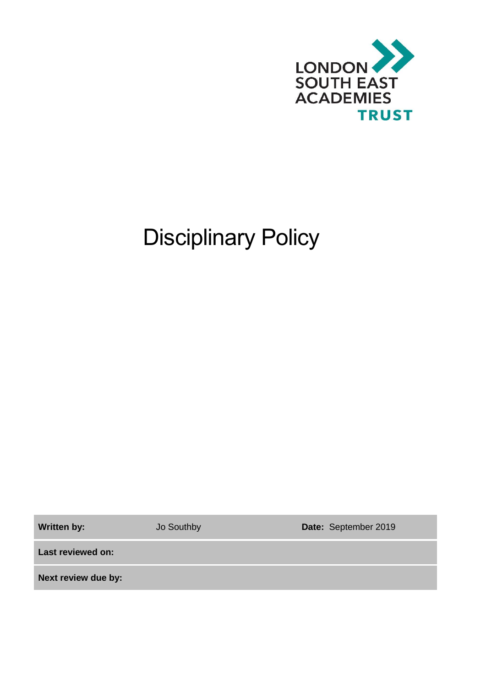

# Disciplinary Policy

**Written by:** Jo Southby **Date:** September 2019

**Last reviewed on:**

**Next review due by:**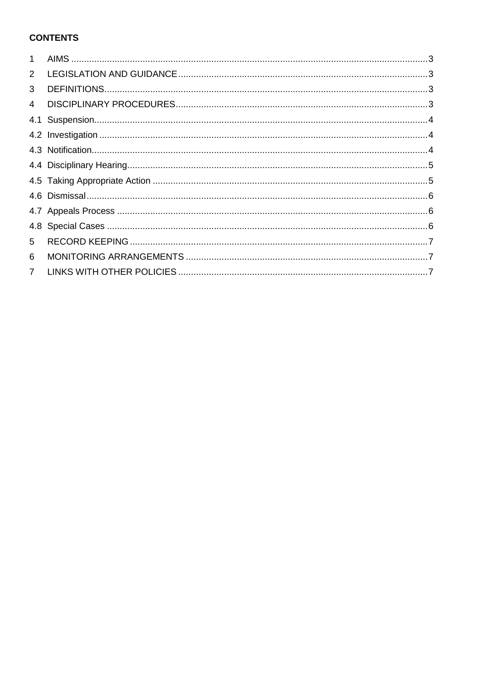# **CONTENTS**

| $\mathbf{1}$   |  |
|----------------|--|
| $\overline{2}$ |  |
| 3              |  |
| $\overline{4}$ |  |
|                |  |
|                |  |
|                |  |
|                |  |
|                |  |
|                |  |
|                |  |
|                |  |
| 5              |  |
| 6              |  |
| $7^{\circ}$    |  |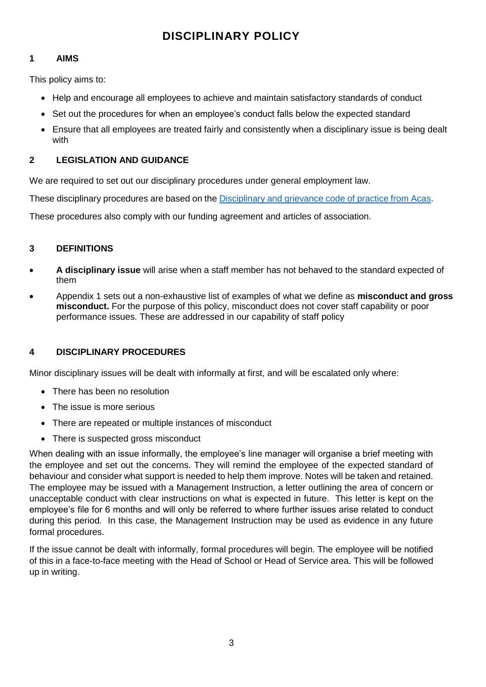# **DISCIPLINARY POLICY**

#### <span id="page-2-0"></span>**1 AIMS**

This policy aims to:

- Help and encourage all employees to achieve and maintain satisfactory standards of conduct
- Set out the procedures for when an employee's conduct falls below the expected standard
- Ensure that all employees are treated fairly and consistently when a disciplinary issue is being dealt with

#### <span id="page-2-1"></span>**2 LEGISLATION AND GUIDANCE**

We are required to set out our disciplinary procedures under general employment law.

These disciplinary procedures are based on the [Disciplinary and grievance code of practice from Acas.](http://www.acas.org.uk/media/pdf/f/m/Acas-Code-of-Practice-1-on-disciplinary-and-grievance-procedures.pdf)

These procedures also comply with our funding agreement and articles of association.

#### <span id="page-2-2"></span>**3 DEFINITIONS**

- **A disciplinary issue** will arise when a staff member has not behaved to the standard expected of them
- Appendix 1 sets out a non-exhaustive list of examples of what we define as **misconduct and gross misconduct.** For the purpose of this policy, misconduct does not cover staff capability or poor performance issues. These are addressed in our capability of staff policy

#### <span id="page-2-3"></span>**4 DISCIPLINARY PROCEDURES**

Minor disciplinary issues will be dealt with informally at first, and will be escalated only where:

- There has been no resolution
- The issue is more serious
- There are repeated or multiple instances of misconduct
- There is suspected gross misconduct

When dealing with an issue informally, the employee's line manager will organise a brief meeting with the employee and set out the concerns. They will remind the employee of the expected standard of behaviour and consider what support is needed to help them improve. Notes will be taken and retained. The employee may be issued with a Management Instruction, a letter outlining the area of concern or unacceptable conduct with clear instructions on what is expected in future. This letter is kept on the employee's file for 6 months and will only be referred to where further issues arise related to conduct during this period. In this case, the Management Instruction may be used as evidence in any future formal procedures.

If the issue cannot be dealt with informally, formal procedures will begin. The employee will be notified of this in a face-to-face meeting with the Head of School or Head of Service area. This will be followed up in writing.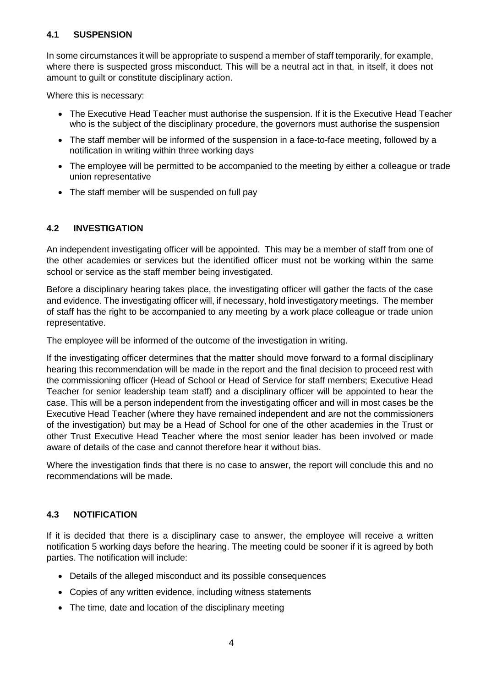#### <span id="page-3-0"></span>**4.1 SUSPENSION**

In some circumstances it will be appropriate to suspend a member of staff temporarily, for example, where there is suspected gross misconduct. This will be a neutral act in that, in itself, it does not amount to guilt or constitute disciplinary action.

Where this is necessary:

- The Executive Head Teacher must authorise the suspension. If it is the Executive Head Teacher who is the subject of the disciplinary procedure, the governors must authorise the suspension
- The staff member will be informed of the suspension in a face-to-face meeting, followed by a notification in writing within three working days
- The employee will be permitted to be accompanied to the meeting by either a colleague or trade union representative
- The staff member will be suspended on full pay

#### <span id="page-3-1"></span>**4.2 INVESTIGATION**

An independent investigating officer will be appointed. This may be a member of staff from one of the other academies or services but the identified officer must not be working within the same school or service as the staff member being investigated.

Before a disciplinary hearing takes place, the investigating officer will gather the facts of the case and evidence. The investigating officer will, if necessary, hold investigatory meetings. The member of staff has the right to be accompanied to any meeting by a work place colleague or trade union representative.

The employee will be informed of the outcome of the investigation in writing.

If the investigating officer determines that the matter should move forward to a formal disciplinary hearing this recommendation will be made in the report and the final decision to proceed rest with the commissioning officer (Head of School or Head of Service for staff members; Executive Head Teacher for senior leadership team staff) and a disciplinary officer will be appointed to hear the case. This will be a person independent from the investigating officer and will in most cases be the Executive Head Teacher (where they have remained independent and are not the commissioners of the investigation) but may be a Head of School for one of the other academies in the Trust or other Trust Executive Head Teacher where the most senior leader has been involved or made aware of details of the case and cannot therefore hear it without bias.

Where the investigation finds that there is no case to answer, the report will conclude this and no recommendations will be made.

#### <span id="page-3-2"></span>**4.3 NOTIFICATION**

If it is decided that there is a disciplinary case to answer, the employee will receive a written notification 5 working days before the hearing. The meeting could be sooner if it is agreed by both parties. The notification will include:

- Details of the alleged misconduct and its possible consequences
- Copies of any written evidence, including witness statements
- The time, date and location of the disciplinary meeting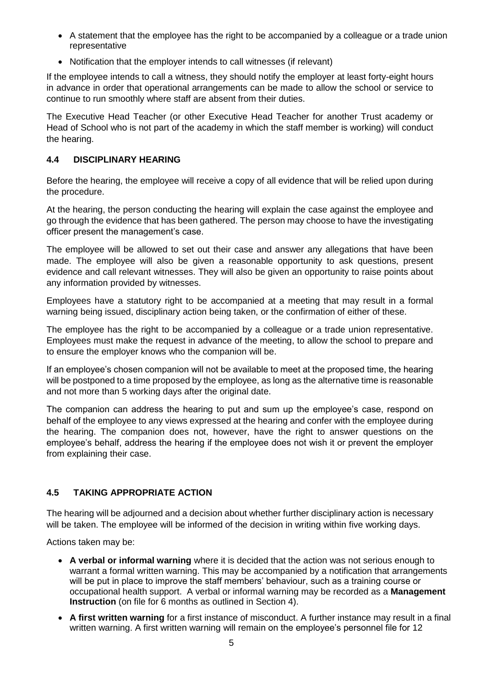- A statement that the employee has the right to be accompanied by a colleague or a trade union representative
- Notification that the employer intends to call witnesses (if relevant)

If the employee intends to call a witness, they should notify the employer at least forty-eight hours in advance in order that operational arrangements can be made to allow the school or service to continue to run smoothly where staff are absent from their duties.

The Executive Head Teacher (or other Executive Head Teacher for another Trust academy or Head of School who is not part of the academy in which the staff member is working) will conduct the hearing.

#### <span id="page-4-0"></span>**4.4 DISCIPLINARY HEARING**

Before the hearing, the employee will receive a copy of all evidence that will be relied upon during the procedure.

At the hearing, the person conducting the hearing will explain the case against the employee and go through the evidence that has been gathered. The person may choose to have the investigating officer present the management's case.

The employee will be allowed to set out their case and answer any allegations that have been made. The employee will also be given a reasonable opportunity to ask questions, present evidence and call relevant witnesses. They will also be given an opportunity to raise points about any information provided by witnesses.

Employees have a statutory right to be accompanied at a meeting that may result in a formal warning being issued, disciplinary action being taken, or the confirmation of either of these.

The employee has the right to be accompanied by a colleague or a trade union representative. Employees must make the request in advance of the meeting, to allow the school to prepare and to ensure the employer knows who the companion will be.

If an employee's chosen companion will not be available to meet at the proposed time, the hearing will be postponed to a time proposed by the employee, as long as the alternative time is reasonable and not more than 5 working days after the original date.

The companion can address the hearing to put and sum up the employee's case, respond on behalf of the employee to any views expressed at the hearing and confer with the employee during the hearing. The companion does not, however, have the right to answer questions on the employee's behalf, address the hearing if the employee does not wish it or prevent the employer from explaining their case.

## <span id="page-4-1"></span>**4.5 TAKING APPROPRIATE ACTION**

The hearing will be adjourned and a decision about whether further disciplinary action is necessary will be taken. The employee will be informed of the decision in writing within five working days.

Actions taken may be:

- **A verbal or informal warning** where it is decided that the action was not serious enough to warrant a formal written warning. This may be accompanied by a notification that arrangements will be put in place to improve the staff members' behaviour, such as a training course or occupational health support. A verbal or informal warning may be recorded as a **Management Instruction** (on file for 6 months as outlined in Section 4).
- **A first written warning** for a first instance of misconduct. A further instance may result in a final written warning. A first written warning will remain on the employee's personnel file for 12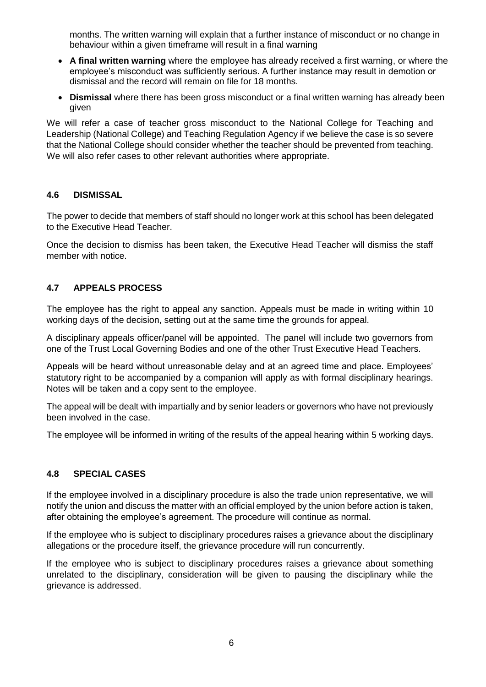months. The written warning will explain that a further instance of misconduct or no change in behaviour within a given timeframe will result in a final warning

- **A final written warning** where the employee has already received a first warning, or where the employee's misconduct was sufficiently serious. A further instance may result in demotion or dismissal and the record will remain on file for 18 months.
- **Dismissal** where there has been gross misconduct or a final written warning has already been given

We will refer a case of teacher gross misconduct to the National College for Teaching and Leadership (National College) and Teaching Regulation Agency if we believe the case is so severe that the National College should consider whether the teacher should be prevented from teaching. We will also refer cases to other relevant authorities where appropriate.

#### <span id="page-5-0"></span>**4.6 DISMISSAL**

The power to decide that members of staff should no longer work at this school has been delegated to the Executive Head Teacher.

Once the decision to dismiss has been taken, the Executive Head Teacher will dismiss the staff member with notice.

#### <span id="page-5-1"></span>**4.7 APPEALS PROCESS**

The employee has the right to appeal any sanction. Appeals must be made in writing within 10 working days of the decision, setting out at the same time the grounds for appeal.

A disciplinary appeals officer/panel will be appointed. The panel will include two governors from one of the Trust Local Governing Bodies and one of the other Trust Executive Head Teachers.

Appeals will be heard without unreasonable delay and at an agreed time and place. Employees' statutory right to be accompanied by a companion will apply as with formal disciplinary hearings. Notes will be taken and a copy sent to the employee.

The appeal will be dealt with impartially and by senior leaders or governors who have not previously been involved in the case.

The employee will be informed in writing of the results of the appeal hearing within 5 working days.

#### <span id="page-5-2"></span>**4.8 SPECIAL CASES**

If the employee involved in a disciplinary procedure is also the trade union representative, we will notify the union and discuss the matter with an official employed by the union before action is taken, after obtaining the employee's agreement. The procedure will continue as normal.

If the employee who is subject to disciplinary procedures raises a grievance about the disciplinary allegations or the procedure itself, the grievance procedure will run concurrently.

If the employee who is subject to disciplinary procedures raises a grievance about something unrelated to the disciplinary, consideration will be given to pausing the disciplinary while the grievance is addressed.